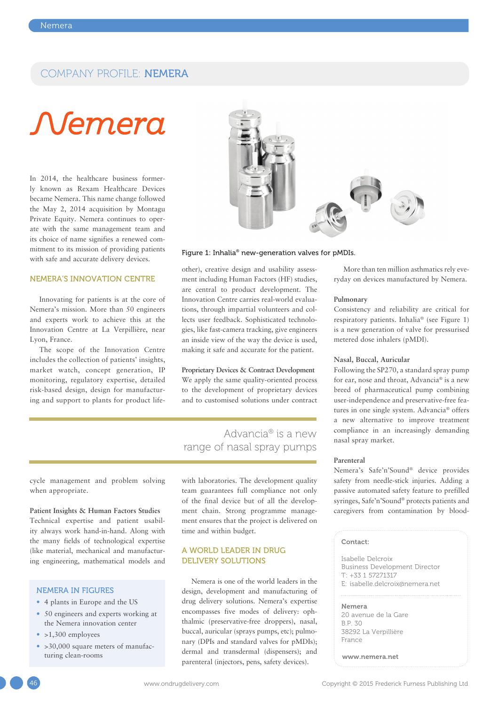### COMPANY PROFILE: NEMERA

# Nemera

In 2014, the healthcare business formerly known as Rexam Healthcare Devices became Nemera. This name change followed the May 2, 2014 acquisition by Montagu Private Equity. Nemera continues to operate with the same management team and its choice of name signifies a renewed commitment to its mission of providing patients with safe and accurate delivery devices.

#### NEMERA'S INNOVATION CENTRE

Innovating for patients is at the core of Nemera's mission. More than 50 engineers and experts work to achieve this at the Innovation Centre at La Verpillière, near Lyon, France.

The scope of the Innovation Centre includes the collection of patients' insights, market watch, concept generation, IP monitoring, regulatory expertise, detailed risk-based design, design for manufacturing and support to plants for product life-



#### Figure 1: Inhalia® new-generation valves for pMDIs.

other), creative design and usability assessment including Human Factors (HF) studies, are central to product development. The Innovation Centre carries real-world evaluations, through impartial volunteers and collects user feedback. Sophisticated technologies, like fast-camera tracking, give engineers an inside view of the way the device is used, making it safe and accurate for the patient.

**Proprietary Devices & Contract Development** We apply the same quality-oriented process to the development of proprietary devices and to customised solutions under contract

## Advancia® is a new range of nasal spray pumps

cycle management and problem solving when appropriate.

#### **Patient Insights & Human Factors Studies**

Technical expertise and patient usability always work hand-in-hand. Along with the many fields of technological expertise (like material, mechanical and manufacturing engineering, mathematical models and

#### NEMERA IN FIGURES

- 4 plants in Europe and the US
- 50 engineers and experts working at the Nemera innovation center
- $\bullet$  >1,300 employees
- > 30,000 square meters of manufacturing clean-rooms

with laboratories. The development quality team guarantees full compliance not only of the final device but of all the development chain. Strong programme management ensures that the project is delivered on time and within budget.

#### A WORLD LEADER IN DRUG DELIVERY SOLUTIONS

Nemera is one of the world leaders in the design, development and manufacturing of drug delivery solutions. Nemera's expertise encompasses five modes of delivery: ophthalmic (preservative-free droppers), nasal, buccal, auricular (sprays pumps, etc); pulmonary (DPIs and standard valves for pMDIs); dermal and transdermal (dispensers); and parenteral (injectors, pens, safety devices).

More than ten million asthmatics rely everyday on devices manufactured by Nemera.

#### **Pulmonary**

Consistency and reliability are critical for respiratory patients. Inhalia® (see Figure 1) is a new generation of valve for pressurised metered dose inhalers (pMDI).

#### **Nasal, Buccal, Auricular**

Following the SP270, a standard spray pump for ear, nose and throat, Advancia® is a new breed of pharmaceutical pump combining user-independence and preservative-free features in one single system. Advancia® offers a new alternative to improve treatment compliance in an increasingly demanding nasal spray market.

#### **Parenteral**

Nemera's Safe'n'Sound® device provides safety from needle-stick injuries. Adding a passive automated safety feature to prefilled syringes, Safe'n'Sound® protects patients and caregivers from contamination by blood-

#### Contact:

Isabelle Delcroix Business Development Director T: +33 1 57271317 E: isabelle.delcroix@nemera.net

Nemera 20 avenue de la Gare B.P. 30 38292 La Verpillière France

www.nemera.net